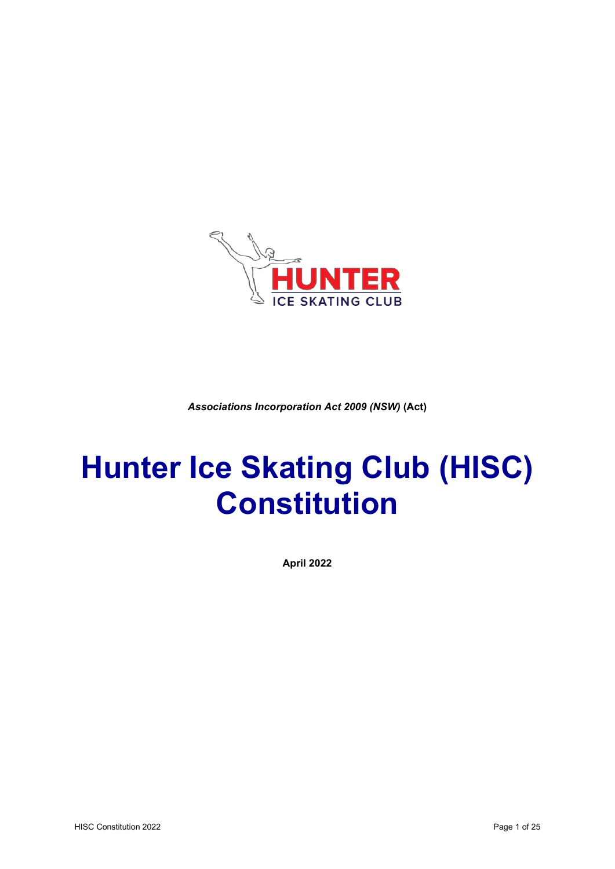

*Associations Incorporation Act 2009 (NSW)* **(Act)**

# **Hunter Ice Skating Club (HISC) Constitution**

**April 2022**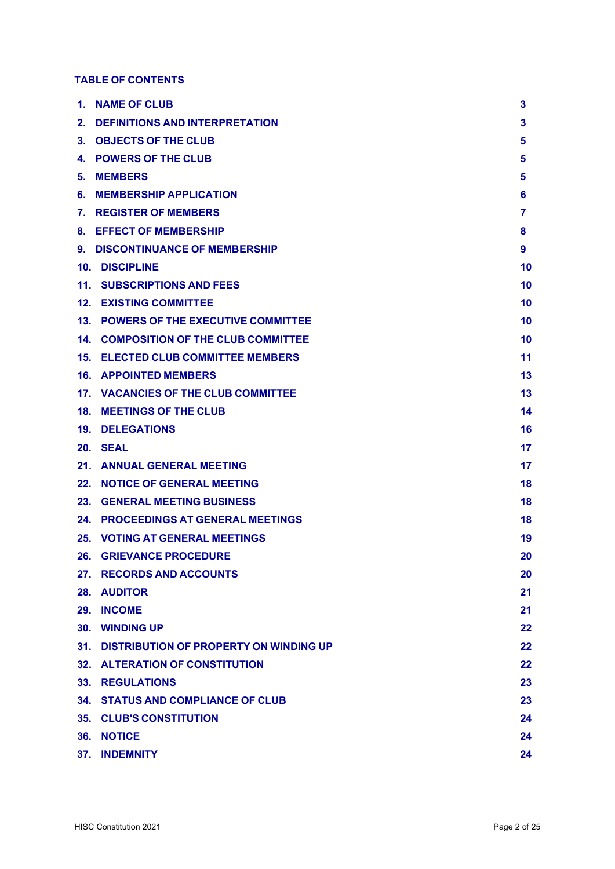# **TABLE OF CONTENTS**

|    | 1. NAME OF CLUB                              | 3  |
|----|----------------------------------------------|----|
|    | 2. DEFINITIONS AND INTERPRETATION            | 3  |
|    | 3. OBJECTS OF THE CLUB                       | 5  |
|    | <b>4. POWERS OF THE CLUB</b>                 | 5  |
| 5. | <b>MEMBERS</b>                               | 5  |
|    | <b>6. MEMBERSHIP APPLICATION</b>             | 6  |
|    | 7. REGISTER OF MEMBERS                       | 7  |
|    | 8. EFFECT OF MEMBERSHIP                      | 8  |
|    | 9. DISCONTINUANCE OF MEMBERSHIP              | 9  |
|    | 10. DISCIPLINE                               | 10 |
|    | <b>11. SUBSCRIPTIONS AND FEES</b>            | 10 |
|    | <b>12. EXISTING COMMITTEE</b>                | 10 |
|    | 13. POWERS OF THE EXECUTIVE COMMITTEE        | 10 |
|    | <b>14. COMPOSITION OF THE CLUB COMMITTEE</b> | 10 |
|    | <b>15. ELECTED CLUB COMMITTEE MEMBERS</b>    | 11 |
|    | <b>16. APPOINTED MEMBERS</b>                 | 13 |
|    | 17. VACANCIES OF THE CLUB COMMITTEE          | 13 |
|    | 18. MEETINGS OF THE CLUB                     | 14 |
|    | <b>19. DELEGATIONS</b>                       | 16 |
|    | 20. SEAL                                     | 17 |
|    | 21. ANNUAL GENERAL MEETING                   | 17 |
|    | 22. NOTICE OF GENERAL MEETING                | 18 |
|    | <b>23. GENERAL MEETING BUSINESS</b>          | 18 |
|    | 24. PROCEEDINGS AT GENERAL MEETINGS          | 18 |
|    | <b>25. VOTING AT GENERAL MEETINGS</b>        | 19 |
|    | <b>26. GRIEVANCE PROCEDURE</b>               | 20 |
|    | 27. RECORDS AND ACCOUNTS                     | 20 |
|    | 28. AUDITOR                                  | 21 |
|    | 29. INCOME                                   | 21 |
|    | 30. WINDING UP                               | 22 |
|    | 31. DISTRIBUTION OF PROPERTY ON WINDING UP   | 22 |
|    | 32. ALTERATION OF CONSTITUTION               | 22 |
|    | <b>33. REGULATIONS</b>                       | 23 |
|    | <b>34. STATUS AND COMPLIANCE OF CLUB</b>     | 23 |
|    | <b>35. CLUB'S CONSTITUTION</b>               | 24 |
|    | 36. NOTICE                                   | 24 |
|    | <b>37. INDEMNITY</b>                         | 24 |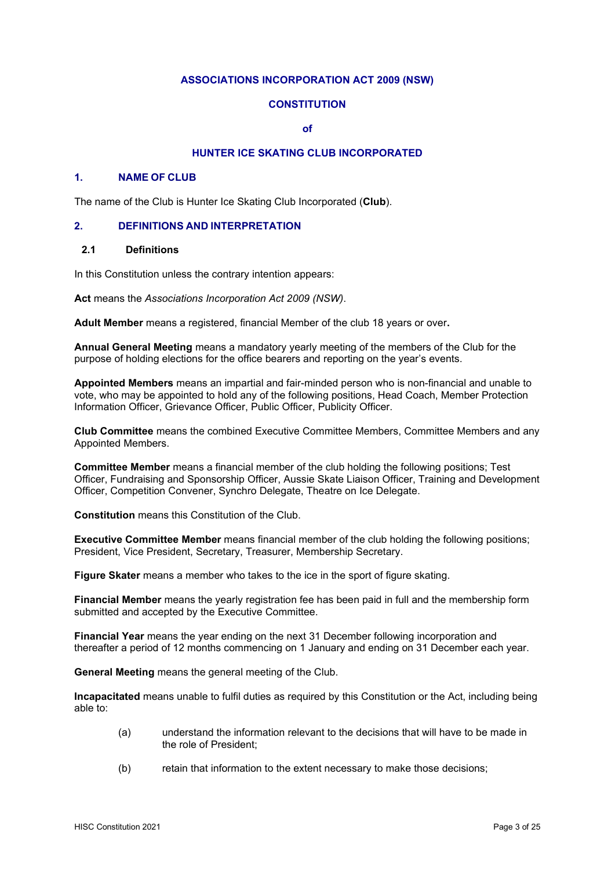## **ASSOCIATIONS INCORPORATION ACT 2009 (NSW)**

## **CONSTITUTION**

**of**

# **HUNTER ICE SKATING CLUB INCORPORATED**

#### **1. NAME OF CLUB**

The name of the Club is Hunter Ice Skating Club Incorporated (**Club**).

#### **2. DEFINITIONS AND INTERPRETATION**

#### **2.1 Definitions**

In this Constitution unless the contrary intention appears:

**Act** means the *Associations Incorporation Act 2009 (NSW)*.

**Adult Member** means a registered, financial Member of the club 18 years or over**.**

**Annual General Meeting** means a mandatory yearly meeting of the members of the Club for the purpose of holding elections for the office bearers and reporting on the year's events.

**Appointed Members** means an impartial and fair-minded person who is non-financial and unable to vote, who may be appointed to hold any of the following positions, Head Coach, Member Protection Information Officer, Grievance Officer, Public Officer, Publicity Officer.

**Club Committee** means the combined Executive Committee Members, Committee Members and any Appointed Members.

**Committee Member** means a financial member of the club holding the following positions; Test Officer, Fundraising and Sponsorship Officer, Aussie Skate Liaison Officer, Training and Development Officer, Competition Convener, Synchro Delegate, Theatre on Ice Delegate.

**Constitution** means this Constitution of the Club.

**Executive Committee Member** means financial member of the club holding the following positions; President, Vice President, Secretary, Treasurer, Membership Secretary.

**Figure Skater** means a member who takes to the ice in the sport of figure skating.

**Financial Member** means the yearly registration fee has been paid in full and the membership form submitted and accepted by the Executive Committee.

**Financial Year** means the year ending on the next 31 December following incorporation and thereafter a period of 12 months commencing on 1 January and ending on 31 December each year.

**General Meeting** means the general meeting of the Club.

**Incapacitated** means unable to fulfil duties as required by this Constitution or the Act, including being able to:

- (a) understand the information relevant to the decisions that will have to be made in the role of President;
- (b) retain that information to the extent necessary to make those decisions;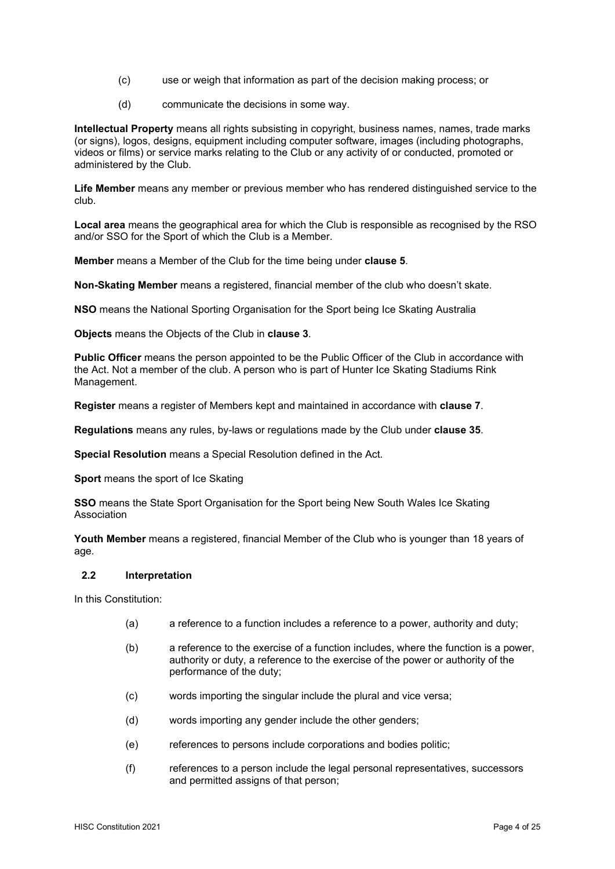- (c) use or weigh that information as part of the decision making process; or
- (d) communicate the decisions in some way.

**Intellectual Property** means all rights subsisting in copyright, business names, names, trade marks (or signs), logos, designs, equipment including computer software, images (including photographs, videos or films) or service marks relating to the Club or any activity of or conducted, promoted or administered by the Club.

**Life Member** means any member or previous member who has rendered distinguished service to the club.

**Local area** means the geographical area for which the Club is responsible as recognised by the RSO and/or SSO for the Sport of which the Club is a Member.

**Member** means a Member of the Club for the time being under **clause 5**.

**Non-Skating Member** means a registered, financial member of the club who doesn't skate.

**NSO** means the National Sporting Organisation for the Sport being Ice Skating Australia

**Objects** means the Objects of the Club in **clause 3**.

**Public Officer** means the person appointed to be the Public Officer of the Club in accordance with the Act. Not a member of the club. A person who is part of Hunter Ice Skating Stadiums Rink Management.

**Register** means a register of Members kept and maintained in accordance with **clause 7**.

**Regulations** means any rules, by-laws or regulations made by the Club under **clause 35**.

**Special Resolution** means a Special Resolution defined in the Act.

**Sport** means the sport of Ice Skating

**SSO** means the State Sport Organisation for the Sport being New South Wales Ice Skating Association

**Youth Member** means a registered, financial Member of the Club who is younger than 18 years of age.

#### **2.2 Interpretation**

In this Constitution:

- (a) a reference to a function includes a reference to a power, authority and duty;
- (b) a reference to the exercise of a function includes, where the function is a power, authority or duty, a reference to the exercise of the power or authority of the performance of the duty;
- (c) words importing the singular include the plural and vice versa;
- (d) words importing any gender include the other genders;
- (e) references to persons include corporations and bodies politic;
- (f) references to a person include the legal personal representatives, successors and permitted assigns of that person;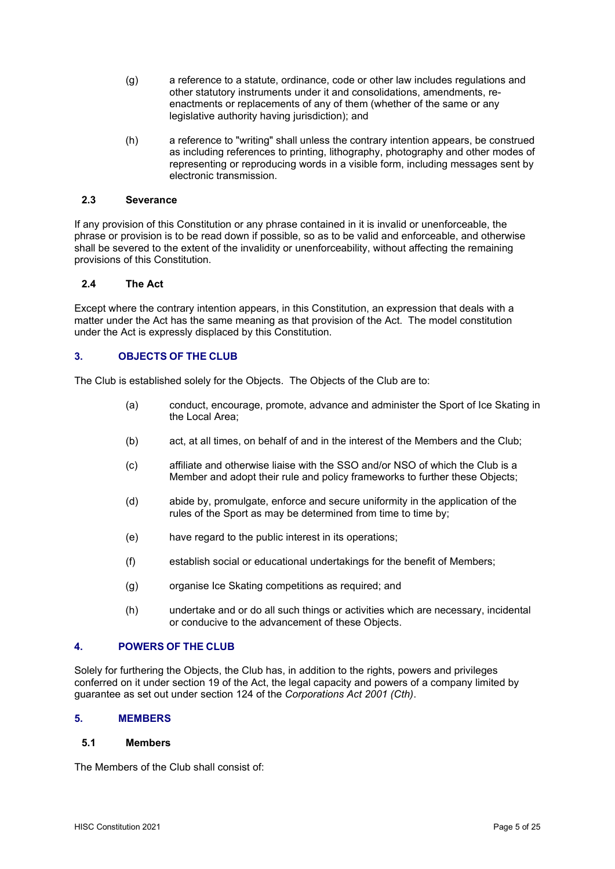- (g) a reference to a statute, ordinance, code or other law includes regulations and other statutory instruments under it and consolidations, amendments, reenactments or replacements of any of them (whether of the same or any legislative authority having jurisdiction); and
- (h) a reference to "writing" shall unless the contrary intention appears, be construed as including references to printing, lithography, photography and other modes of representing or reproducing words in a visible form, including messages sent by electronic transmission.

#### **2.3 Severance**

If any provision of this Constitution or any phrase contained in it is invalid or unenforceable, the phrase or provision is to be read down if possible, so as to be valid and enforceable, and otherwise shall be severed to the extent of the invalidity or unenforceability, without affecting the remaining provisions of this Constitution.

## **2.4 The Act**

Except where the contrary intention appears, in this Constitution, an expression that deals with a matter under the Act has the same meaning as that provision of the Act. The model constitution under the Act is expressly displaced by this Constitution.

## **3. OBJECTS OF THE CLUB**

The Club is established solely for the Objects. The Objects of the Club are to:

- (a) conduct, encourage, promote, advance and administer the Sport of Ice Skating in the Local Area;
- (b) act, at all times, on behalf of and in the interest of the Members and the Club;
- (c) affiliate and otherwise liaise with the SSO and/or NSO of which the Club is a Member and adopt their rule and policy frameworks to further these Objects;
- (d) abide by, promulgate, enforce and secure uniformity in the application of the rules of the Sport as may be determined from time to time by;
- (e) have regard to the public interest in its operations;
- (f) establish social or educational undertakings for the benefit of Members;
- (g) organise Ice Skating competitions as required; and
- (h) undertake and or do all such things or activities which are necessary, incidental or conducive to the advancement of these Objects.

## **4. POWERS OF THE CLUB**

Solely for furthering the Objects, the Club has, in addition to the rights, powers and privileges conferred on it under section 19 of the Act, the legal capacity and powers of a company limited by guarantee as set out under section 124 of the *Corporations Act 2001 (Cth)*.

## **5. MEMBERS**

#### **5.1 Members**

The Members of the Club shall consist of: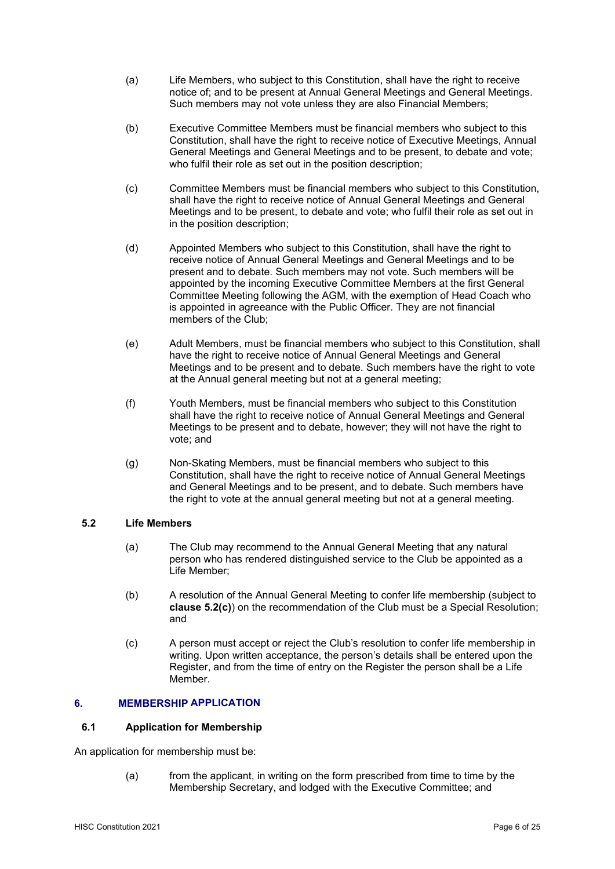- (a) Life Members, who subject to this Constitution, shall have the right to receive notice of; and to be present at Annual General Meetings and General Meetings. Such members may not vote unless they are also Financial Members;
- (b) Executive Committee Members must be financial members who subject to this Constitution, shall have the right to receive notice of Executive Meetings, Annual General Meetings and General Meetings and to be present, to debate and vote; who fulfil their role as set out in the position description;
- (c) Committee Members must be financial members who subject to this Constitution, shall have the right to receive notice of Annual General Meetings and General Meetings and to be present, to debate and vote; who fulfil their role as set out in in the position description;
- (d) Appointed Members who subject to this Constitution, shall have the right to receive notice of Annual General Meetings and General Meetings and to be present and to debate. Such members may not vote. Such members will be appointed by the incoming Executive Committee Members at the first General Committee Meeting following the AGM, with the exemption of Head Coach who is appointed in agreeance with the Public Officer. They are not financial members of the Club;
- (e) Adult Members, must be financial members who subject to this Constitution, shall have the right to receive notice of Annual General Meetings and General Meetings and to be present and to debate. Such members have the right to vote at the Annual general meeting but not at a general meeting;
- (f) Youth Members, must be financial members who subject to this Constitution shall have the right to receive notice of Annual General Meetings and General Meetings to be present and to debate, however; they will not have the right to vote; and
- (g) Non-Skating Members, must be financial members who subject to this Constitution, shall have the right to receive notice of Annual General Meetings and General Meetings and to be present, and to debate. Such members have the right to vote at the annual general meeting but not at a general meeting.

## **5.2 Life Members**

- (a) The Club may recommend to the Annual General Meeting that any natural person who has rendered distinguished service to the Club be appointed as a Life Member;
- (b) A resolution of the Annual General Meeting to confer life membership (subject to **clause 5.2(c)**) on the recommendation of the Club must be a Special Resolution; and
- (c) A person must accept or reject the Club's resolution to confer life membership in writing. Upon written acceptance, the person's details shall be entered upon the Register, and from the time of entry on the Register the person shall be a Life Member.

# **6. MEMBERSHIP APPLICATION**

#### **6.1 Application for Membership**

An application for membership must be:

(a) from the applicant, in writing on the form prescribed from time to time by the Membership Secretary, and lodged with the Executive Committee; and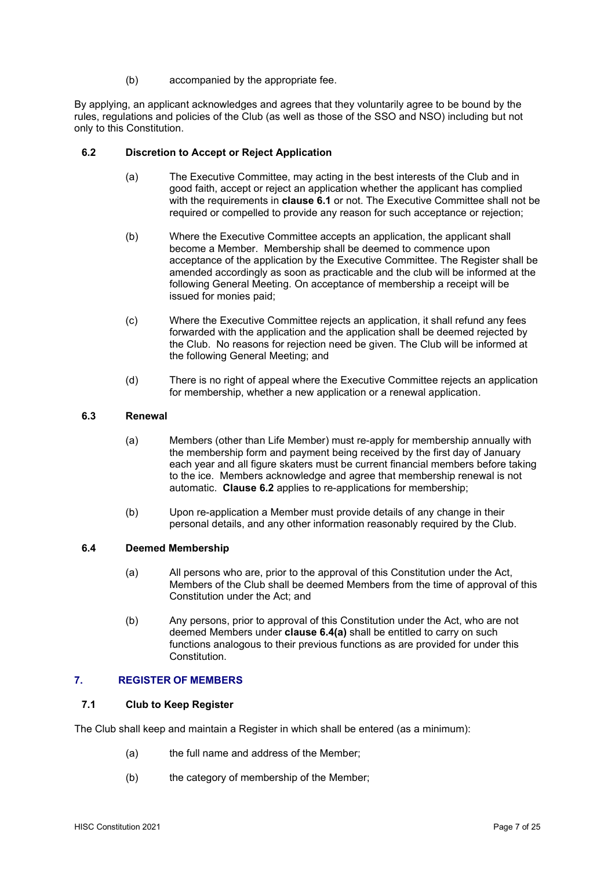(b) accompanied by the appropriate fee.

By applying, an applicant acknowledges and agrees that they voluntarily agree to be bound by the rules, regulations and policies of the Club (as well as those of the SSO and NSO) including but not only to this Constitution.

## **6.2 Discretion to Accept or Reject Application**

- (a) The Executive Committee, may acting in the best interests of the Club and in good faith, accept or reject an application whether the applicant has complied with the requirements in **clause 6.1** or not. The Executive Committee shall not be required or compelled to provide any reason for such acceptance or rejection;
- (b) Where the Executive Committee accepts an application, the applicant shall become a Member. Membership shall be deemed to commence upon acceptance of the application by the Executive Committee. The Register shall be amended accordingly as soon as practicable and the club will be informed at the following General Meeting. On acceptance of membership a receipt will be issued for monies paid;
- (c) Where the Executive Committee rejects an application, it shall refund any fees forwarded with the application and the application shall be deemed rejected by the Club. No reasons for rejection need be given. The Club will be informed at the following General Meeting; and
- (d) There is no right of appeal where the Executive Committee rejects an application for membership, whether a new application or a renewal application.

## **6.3 Renewal**

- (a) Members (other than Life Member) must re-apply for membership annually with the membership form and payment being received by the first day of January each year and all figure skaters must be current financial members before taking to the ice. Members acknowledge and agree that membership renewal is not automatic. **Clause 6.2** applies to re-applications for membership;
- (b) Upon re-application a Member must provide details of any change in their personal details, and any other information reasonably required by the Club.

#### **6.4 Deemed Membership**

- (a) All persons who are, prior to the approval of this Constitution under the Act, Members of the Club shall be deemed Members from the time of approval of this Constitution under the Act; and
- (b) Any persons, prior to approval of this Constitution under the Act, who are not deemed Members under **clause 6.4(a)** shall be entitled to carry on such functions analogous to their previous functions as are provided for under this Constitution.

#### **7. REGISTER OF MEMBERS**

#### **7.1 Club to Keep Register**

The Club shall keep and maintain a Register in which shall be entered (as a minimum):

- (a) the full name and address of the Member;
- (b) the category of membership of the Member;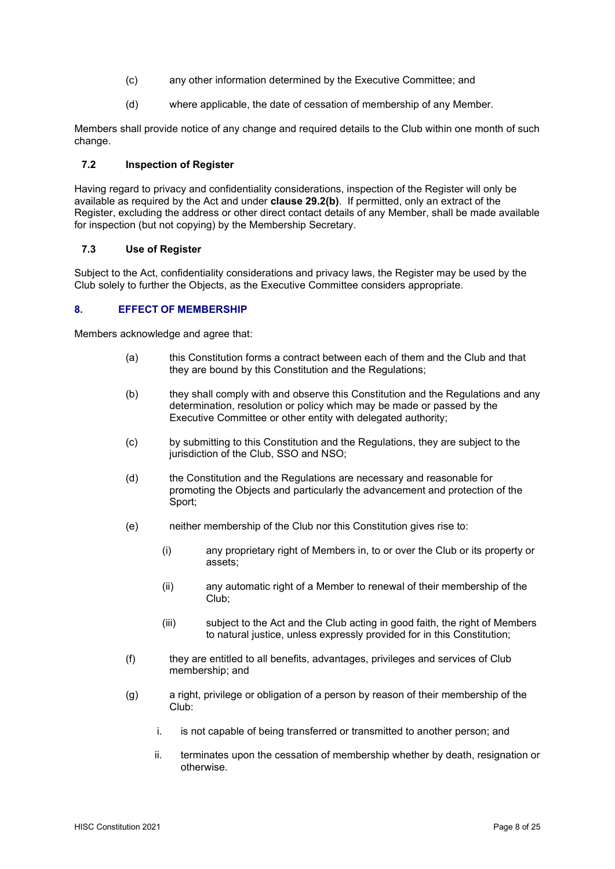- (c) any other information determined by the Executive Committee; and
- (d) where applicable, the date of cessation of membership of any Member.

Members shall provide notice of any change and required details to the Club within one month of such change.

## **7.2 Inspection of Register**

Having regard to privacy and confidentiality considerations, inspection of the Register will only be available as required by the Act and under **clause 29.2(b)**. If permitted, only an extract of the Register, excluding the address or other direct contact details of any Member, shall be made available for inspection (but not copying) by the Membership Secretary.

#### **7.3 Use of Register**

Subject to the Act, confidentiality considerations and privacy laws, the Register may be used by the Club solely to further the Objects, as the Executive Committee considers appropriate.

## **8. EFFECT OF MEMBERSHIP**

Members acknowledge and agree that:

- (a) this Constitution forms a contract between each of them and the Club and that they are bound by this Constitution and the Regulations;
- (b) they shall comply with and observe this Constitution and the Regulations and any determination, resolution or policy which may be made or passed by the Executive Committee or other entity with delegated authority;
- (c) by submitting to this Constitution and the Regulations, they are subject to the jurisdiction of the Club, SSO and NSO;
- (d) the Constitution and the Regulations are necessary and reasonable for promoting the Objects and particularly the advancement and protection of the Sport;
- (e) neither membership of the Club nor this Constitution gives rise to:
	- (i) any proprietary right of Members in, to or over the Club or its property or assets;
	- (ii) any automatic right of a Member to renewal of their membership of the Club;
	- (iii) subject to the Act and the Club acting in good faith, the right of Members to natural justice, unless expressly provided for in this Constitution;
- (f) they are entitled to all benefits, advantages, privileges and services of Club membership; and
- (g) a right, privilege or obligation of a person by reason of their membership of the Club:
	- i. is not capable of being transferred or transmitted to another person; and
	- ii. terminates upon the cessation of membership whether by death, resignation or otherwise.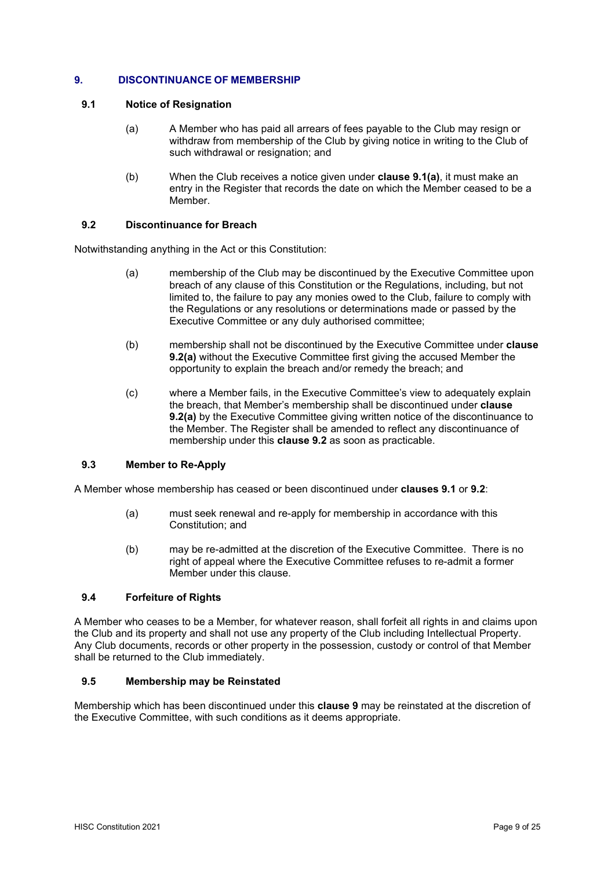## **9. DISCONTINUANCE OF MEMBERSHIP**

## **9.1 Notice of Resignation**

- (a) A Member who has paid all arrears of fees payable to the Club may resign or withdraw from membership of the Club by giving notice in writing to the Club of such withdrawal or resignation; and
- (b) When the Club receives a notice given under **clause 9.1(a)**, it must make an entry in the Register that records the date on which the Member ceased to be a Member.

## **9.2 Discontinuance for Breach**

Notwithstanding anything in the Act or this Constitution:

- (a) membership of the Club may be discontinued by the Executive Committee upon breach of any clause of this Constitution or the Regulations, including, but not limited to, the failure to pay any monies owed to the Club, failure to comply with the Regulations or any resolutions or determinations made or passed by the Executive Committee or any duly authorised committee;
- (b) membership shall not be discontinued by the Executive Committee under **clause 9.2(a)** without the Executive Committee first giving the accused Member the opportunity to explain the breach and/or remedy the breach; and
- (c) where a Member fails, in the Executive Committee's view to adequately explain the breach, that Member's membership shall be discontinued under **clause 9.2(a)** by the Executive Committee giving written notice of the discontinuance to the Member. The Register shall be amended to reflect any discontinuance of membership under this **clause 9.2** as soon as practicable.

## **9.3 Member to Re-Apply**

A Member whose membership has ceased or been discontinued under **clauses 9.1** or **9.2**:

- (a) must seek renewal and re-apply for membership in accordance with this Constitution; and
- (b) may be re-admitted at the discretion of the Executive Committee. There is no right of appeal where the Executive Committee refuses to re-admit a former Member under this clause.

#### **9.4 Forfeiture of Rights**

A Member who ceases to be a Member, for whatever reason, shall forfeit all rights in and claims upon the Club and its property and shall not use any property of the Club including Intellectual Property. Any Club documents, records or other property in the possession, custody or control of that Member shall be returned to the Club immediately.

#### **9.5 Membership may be Reinstated**

Membership which has been discontinued under this **clause 9** may be reinstated at the discretion of the Executive Committee, with such conditions as it deems appropriate.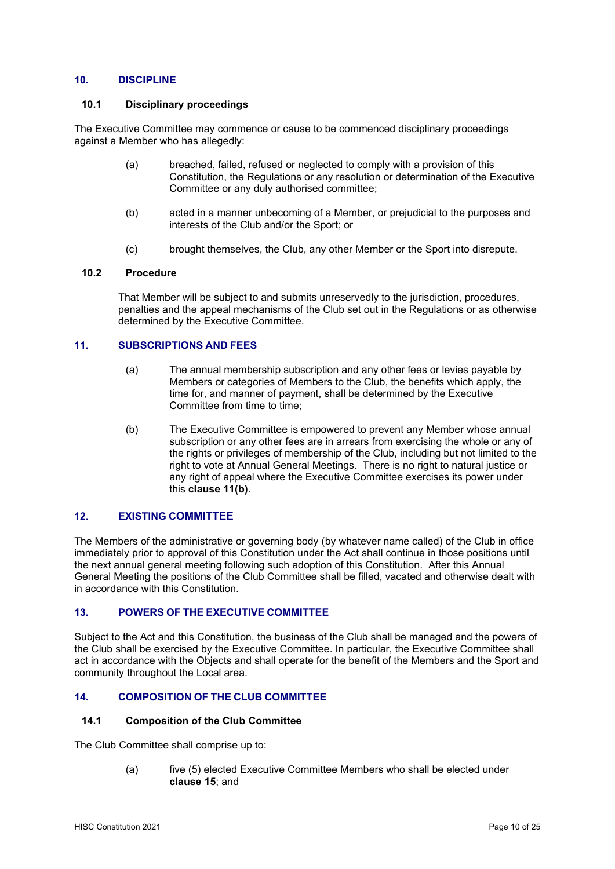## **10. DISCIPLINE**

#### **10.1 Disciplinary proceedings**

The Executive Committee may commence or cause to be commenced disciplinary proceedings against a Member who has allegedly:

- (a) breached, failed, refused or neglected to comply with a provision of this Constitution, the Regulations or any resolution or determination of the Executive Committee or any duly authorised committee;
- (b) acted in a manner unbecoming of a Member, or prejudicial to the purposes and interests of the Club and/or the Sport; or
- (c) brought themselves, the Club, any other Member or the Sport into disrepute.

## **10.2 Procedure**

That Member will be subject to and submits unreservedly to the jurisdiction, procedures, penalties and the appeal mechanisms of the Club set out in the Regulations or as otherwise determined by the Executive Committee.

## **11. SUBSCRIPTIONS AND FEES**

- (a) The annual membership subscription and any other fees or levies payable by Members or categories of Members to the Club, the benefits which apply, the time for, and manner of payment, shall be determined by the Executive Committee from time to time;
- (b) The Executive Committee is empowered to prevent any Member whose annual subscription or any other fees are in arrears from exercising the whole or any of the rights or privileges of membership of the Club, including but not limited to the right to vote at Annual General Meetings. There is no right to natural justice or any right of appeal where the Executive Committee exercises its power under this **clause 11(b)**.

## **12. EXISTING COMMITTEE**

The Members of the administrative or governing body (by whatever name called) of the Club in office immediately prior to approval of this Constitution under the Act shall continue in those positions until the next annual general meeting following such adoption of this Constitution. After this Annual General Meeting the positions of the Club Committee shall be filled, vacated and otherwise dealt with in accordance with this Constitution.

## **13. POWERS OF THE EXECUTIVE COMMITTEE**

Subject to the Act and this Constitution, the business of the Club shall be managed and the powers of the Club shall be exercised by the Executive Committee. In particular, the Executive Committee shall act in accordance with the Objects and shall operate for the benefit of the Members and the Sport and community throughout the Local area.

## **14. COMPOSITION OF THE CLUB COMMITTEE**

#### **14.1 Composition of the Club Committee**

The Club Committee shall comprise up to:

(a) five (5) elected Executive Committee Members who shall be elected under **clause 15**; and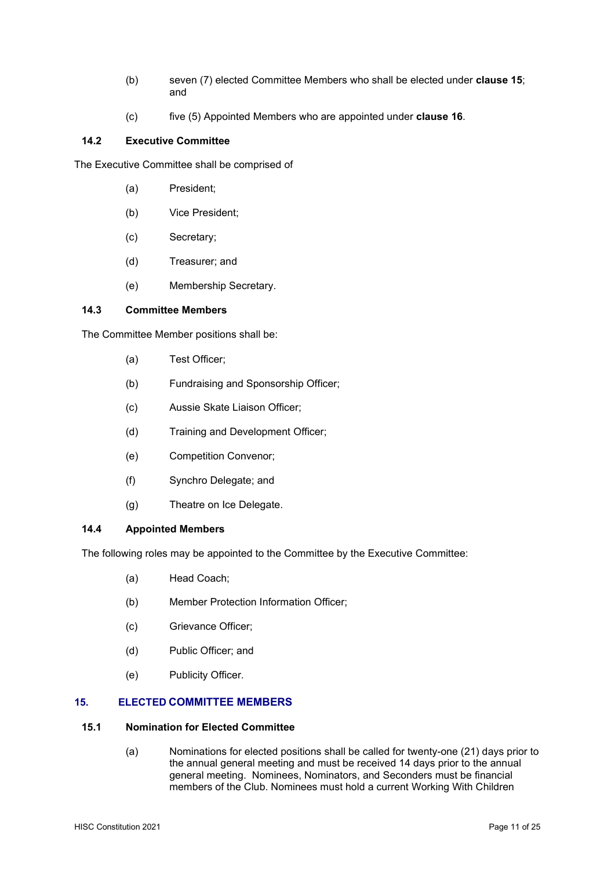- (b) seven (7) elected Committee Members who shall be elected under **clause 15**; and
- (c) five (5) Appointed Members who are appointed under **clause 16**.

## **14.2 Executive Committee**

The Executive Committee shall be comprised of

- (a) President;
- (b) Vice President;
- (c) Secretary;
- (d) Treasurer; and
- (e) Membership Secretary.

#### **14.3 Committee Members**

The Committee Member positions shall be:

- (a) Test Officer;
- (b) Fundraising and Sponsorship Officer;
- (c) Aussie Skate Liaison Officer;
- (d) Training and Development Officer;
- (e) Competition Convenor;
- (f) Synchro Delegate; and
- (g) Theatre on Ice Delegate.

#### **14.4 Appointed Members**

The following roles may be appointed to the Committee by the Executive Committee:

- (a) Head Coach;
- (b) Member Protection Information Officer;
- (c) Grievance Officer;
- (d) Public Officer; and
- (e) Publicity Officer.

## **15. ELECTED COMMITTEE MEMBERS**

#### **15.1 Nomination for Elected Committee**

(a) Nominations for elected positions shall be called for twenty-one (21) days prior to the annual general meeting and must be received 14 days prior to the annual general meeting. Nominees, Nominators, and Seconders must be financial members of the Club. Nominees must hold a current Working With Children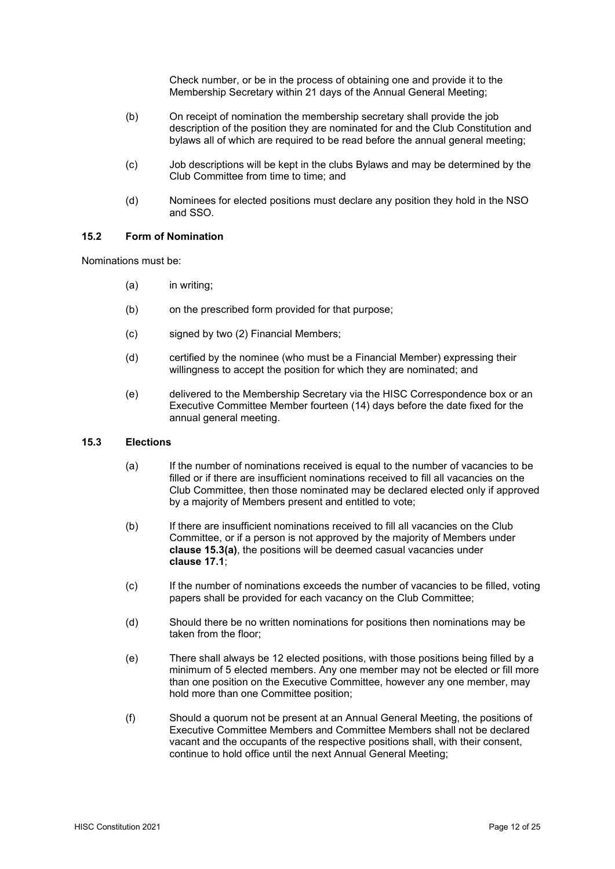Check number, or be in the process of obtaining one and provide it to the Membership Secretary within 21 days of the Annual General Meeting;

- (b) On receipt of nomination the membership secretary shall provide the job description of the position they are nominated for and the Club Constitution and bylaws all of which are required to be read before the annual general meeting;
- (c) Job descriptions will be kept in the clubs Bylaws and may be determined by the Club Committee from time to time; and
- (d) Nominees for elected positions must declare any position they hold in the NSO and SSO.

## **15.2 Form of Nomination**

Nominations must be:

- (a) in writing;
- (b) on the prescribed form provided for that purpose;
- (c) signed by two (2) Financial Members;
- (d) certified by the nominee (who must be a Financial Member) expressing their willingness to accept the position for which they are nominated; and
- (e) delivered to the Membership Secretary via the HISC Correspondence box or an Executive Committee Member fourteen (14) days before the date fixed for the annual general meeting.

#### **15.3 Elections**

- (a) If the number of nominations received is equal to the number of vacancies to be filled or if there are insufficient nominations received to fill all vacancies on the Club Committee, then those nominated may be declared elected only if approved by a majority of Members present and entitled to vote;
- (b) If there are insufficient nominations received to fill all vacancies on the Club Committee, or if a person is not approved by the majority of Members under **clause 15.3(a)**, the positions will be deemed casual vacancies under **clause 17.1**;
- (c) If the number of nominations exceeds the number of vacancies to be filled, voting papers shall be provided for each vacancy on the Club Committee;
- (d) Should there be no written nominations for positions then nominations may be taken from the floor;
- (e) There shall always be 12 elected positions, with those positions being filled by a minimum of 5 elected members. Any one member may not be elected or fill more than one position on the Executive Committee, however any one member, may hold more than one Committee position;
- (f) Should a quorum not be present at an Annual General Meeting, the positions of Executive Committee Members and Committee Members shall not be declared vacant and the occupants of the respective positions shall, with their consent, continue to hold office until the next Annual General Meeting;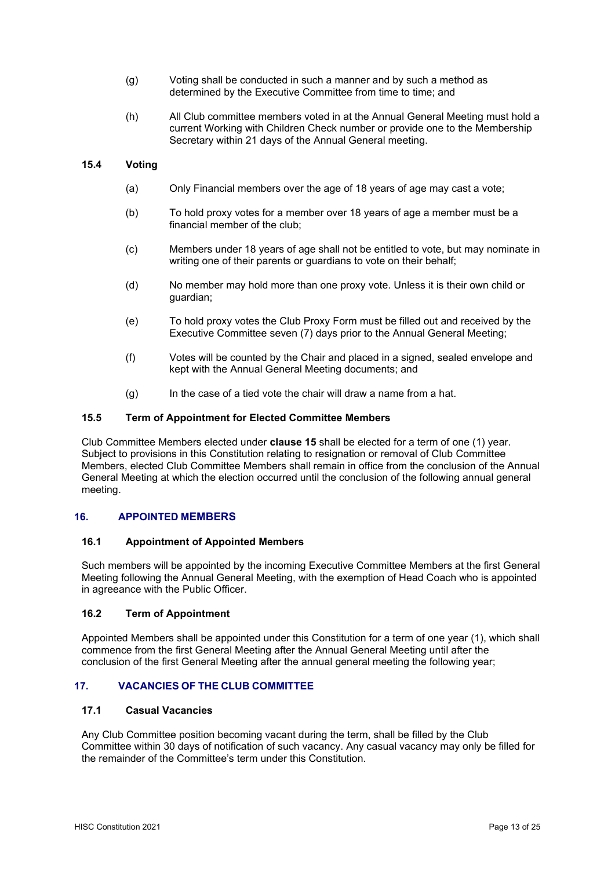- (g) Voting shall be conducted in such a manner and by such a method as determined by the Executive Committee from time to time; and
- (h) All Club committee members voted in at the Annual General Meeting must hold a current Working with Children Check number or provide one to the Membership Secretary within 21 days of the Annual General meeting.

## **15.4 Voting**

- (a) Only Financial members over the age of 18 years of age may cast a vote;
- (b) To hold proxy votes for a member over 18 years of age a member must be a financial member of the club;
- (c) Members under 18 years of age shall not be entitled to vote, but may nominate in writing one of their parents or guardians to vote on their behalf;
- (d) No member may hold more than one proxy vote. Unless it is their own child or guardian;
- (e) To hold proxy votes the Club Proxy Form must be filled out and received by the Executive Committee seven (7) days prior to the Annual General Meeting;
- (f) Votes will be counted by the Chair and placed in a signed, sealed envelope and kept with the Annual General Meeting documents; and
- $(q)$  In the case of a tied vote the chair will draw a name from a hat.

## **15.5 Term of Appointment for Elected Committee Members**

Club Committee Members elected under **clause 15** shall be elected for a term of one (1) year. Subject to provisions in this Constitution relating to resignation or removal of Club Committee Members, elected Club Committee Members shall remain in office from the conclusion of the Annual General Meeting at which the election occurred until the conclusion of the following annual general meeting.

#### **16. APPOINTED MEMBERS**

#### **16.1 Appointment of Appointed Members**

Such members will be appointed by the incoming Executive Committee Members at the first General Meeting following the Annual General Meeting, with the exemption of Head Coach who is appointed in agreeance with the Public Officer.

#### **16.2 Term of Appointment**

Appointed Members shall be appointed under this Constitution for a term of one year (1), which shall commence from the first General Meeting after the Annual General Meeting until after the conclusion of the first General Meeting after the annual general meeting the following year;

## **17. VACANCIES OF THE CLUB COMMITTEE**

#### **17.1 Casual Vacancies**

Any Club Committee position becoming vacant during the term, shall be filled by the Club Committee within 30 days of notification of such vacancy. Any casual vacancy may only be filled for the remainder of the Committee's term under this Constitution.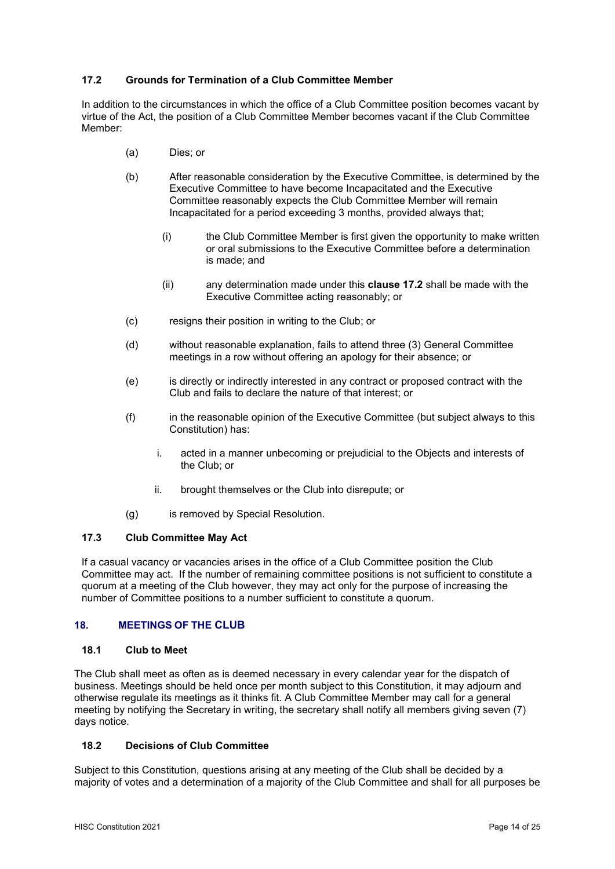## **17.2 Grounds for Termination of a Club Committee Member**

In addition to the circumstances in which the office of a Club Committee position becomes vacant by virtue of the Act, the position of a Club Committee Member becomes vacant if the Club Committee Member:

- (a) Dies; or
- (b) After reasonable consideration by the Executive Committee, is determined by the Executive Committee to have become Incapacitated and the Executive Committee reasonably expects the Club Committee Member will remain Incapacitated for a period exceeding 3 months, provided always that;
	- (i) the Club Committee Member is first given the opportunity to make written or oral submissions to the Executive Committee before a determination is made; and
	- (ii) any determination made under this **clause 17.2** shall be made with the Executive Committee acting reasonably; or
- (c) resigns their position in writing to the Club; or
- (d) without reasonable explanation, fails to attend three (3) General Committee meetings in a row without offering an apology for their absence; or
- (e) is directly or indirectly interested in any contract or proposed contract with the Club and fails to declare the nature of that interest; or
- (f) in the reasonable opinion of the Executive Committee (but subject always to this Constitution) has:
	- i. acted in a manner unbecoming or prejudicial to the Objects and interests of the Club; or
	- ii. brought themselves or the Club into disrepute; or
- (g) is removed by Special Resolution.

#### **17.3 Club Committee May Act**

If a casual vacancy or vacancies arises in the office of a Club Committee position the Club Committee may act. If the number of remaining committee positions is not sufficient to constitute a quorum at a meeting of the Club however, they may act only for the purpose of increasing the number of Committee positions to a number sufficient to constitute a quorum.

## **18. MEETINGS OF THE CLUB**

#### **18.1 Club to Meet**

The Club shall meet as often as is deemed necessary in every calendar year for the dispatch of business. Meetings should be held once per month subject to this Constitution, it may adjourn and otherwise regulate its meetings as it thinks fit. A Club Committee Member may call for a general meeting by notifying the Secretary in writing, the secretary shall notify all members giving seven (7) days notice.

#### **18.2 Decisions of Club Committee**

Subject to this Constitution, questions arising at any meeting of the Club shall be decided by a majority of votes and a determination of a majority of the Club Committee and shall for all purposes be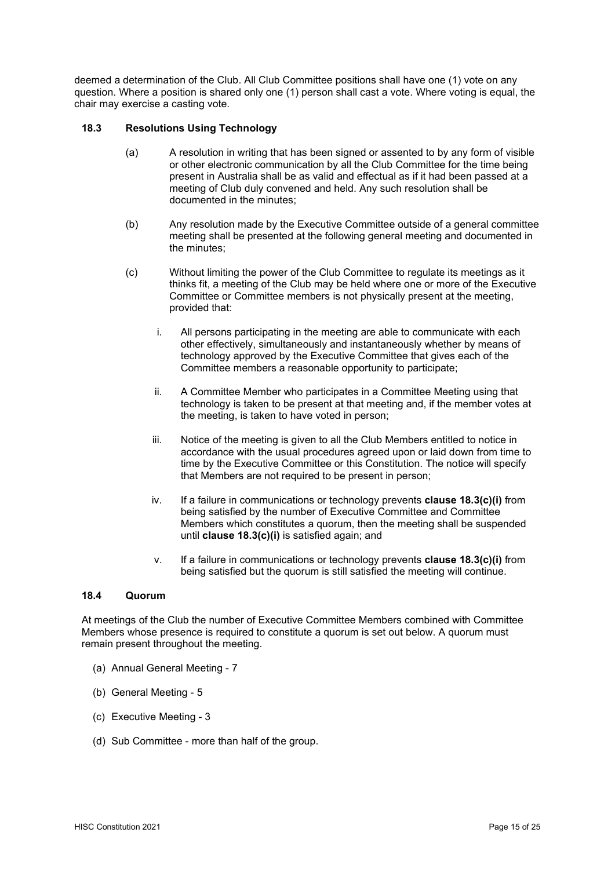deemed a determination of the Club. All Club Committee positions shall have one (1) vote on any question. Where a position is shared only one (1) person shall cast a vote. Where voting is equal, the chair may exercise a casting vote.

## **18.3 Resolutions Using Technology**

- (a) A resolution in writing that has been signed or assented to by any form of visible or other electronic communication by all the Club Committee for the time being present in Australia shall be as valid and effectual as if it had been passed at a meeting of Club duly convened and held. Any such resolution shall be documented in the minutes;
- (b) Any resolution made by the Executive Committee outside of a general committee meeting shall be presented at the following general meeting and documented in the minutes;
- (c) Without limiting the power of the Club Committee to regulate its meetings as it thinks fit, a meeting of the Club may be held where one or more of the Executive Committee or Committee members is not physically present at the meeting, provided that:
	- i. All persons participating in the meeting are able to communicate with each other effectively, simultaneously and instantaneously whether by means of technology approved by the Executive Committee that gives each of the Committee members a reasonable opportunity to participate;
	- ii. A Committee Member who participates in a Committee Meeting using that technology is taken to be present at that meeting and, if the member votes at the meeting, is taken to have voted in person;
	- iii. Notice of the meeting is given to all the Club Members entitled to notice in accordance with the usual procedures agreed upon or laid down from time to time by the Executive Committee or this Constitution. The notice will specify that Members are not required to be present in person;
	- iv. If a failure in communications or technology prevents **clause 18.3(c)(i)** from being satisfied by the number of Executive Committee and Committee Members which constitutes a quorum, then the meeting shall be suspended until **clause 18.3(c)(i)** is satisfied again; and
	- v. If a failure in communications or technology prevents **clause 18.3(c)(i)** from being satisfied but the quorum is still satisfied the meeting will continue.

#### **18.4 Quorum**

At meetings of the Club the number of Executive Committee Members combined with Committee Members whose presence is required to constitute a quorum is set out below. A quorum must remain present throughout the meeting.

- (a) Annual General Meeting 7
- (b) General Meeting 5
- (c) Executive Meeting 3
- (d) Sub Committee more than half of the group.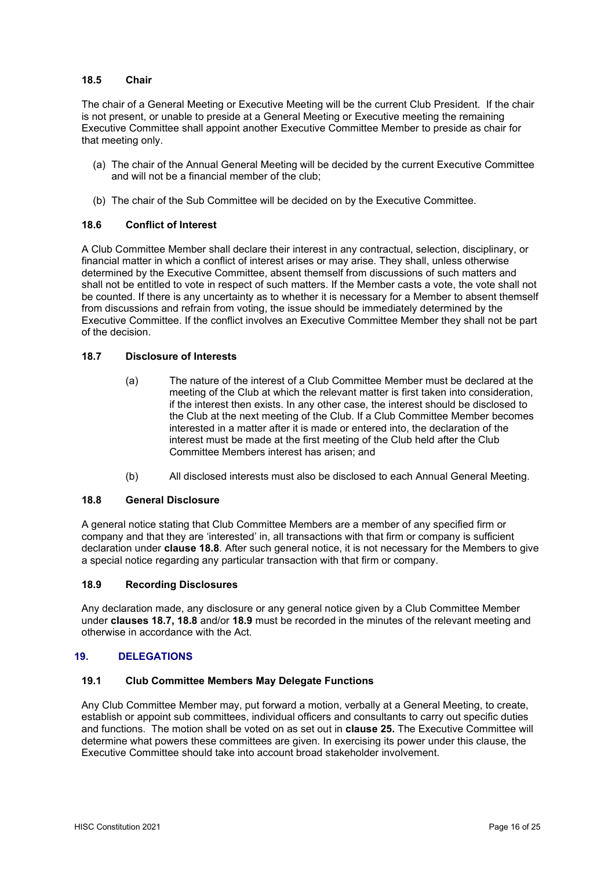## **18.5 Chair**

The chair of a General Meeting or Executive Meeting will be the current Club President. If the chair is not present, or unable to preside at a General Meeting or Executive meeting the remaining Executive Committee shall appoint another Executive Committee Member to preside as chair for that meeting only.

- (a) The chair of the Annual General Meeting will be decided by the current Executive Committee and will not be a financial member of the club;
- (b) The chair of the Sub Committee will be decided on by the Executive Committee.

## **18.6 Conflict of Interest**

A Club Committee Member shall declare their interest in any contractual, selection, disciplinary, or financial matter in which a conflict of interest arises or may arise. They shall, unless otherwise determined by the Executive Committee, absent themself from discussions of such matters and shall not be entitled to vote in respect of such matters. If the Member casts a vote, the vote shall not be counted. If there is any uncertainty as to whether it is necessary for a Member to absent themself from discussions and refrain from voting, the issue should be immediately determined by the Executive Committee. If the conflict involves an Executive Committee Member they shall not be part of the decision.

## **18.7 Disclosure of Interests**

- (a) The nature of the interest of a Club Committee Member must be declared at the meeting of the Club at which the relevant matter is first taken into consideration, if the interest then exists. In any other case, the interest should be disclosed to the Club at the next meeting of the Club. If a Club Committee Member becomes interested in a matter after it is made or entered into, the declaration of the interest must be made at the first meeting of the Club held after the Club Committee Members interest has arisen; and
- (b) All disclosed interests must also be disclosed to each Annual General Meeting.

#### **18.8 General Disclosure**

A general notice stating that Club Committee Members are a member of any specified firm or company and that they are 'interested' in, all transactions with that firm or company is sufficient declaration under **clause 18.8**. After such general notice, it is not necessary for the Members to give a special notice regarding any particular transaction with that firm or company.

#### **18.9 Recording Disclosures**

Any declaration made, any disclosure or any general notice given by a Club Committee Member under **clauses 18.7, 18.8** and/or **18.9** must be recorded in the minutes of the relevant meeting and otherwise in accordance with the Act.

#### **19. DELEGATIONS**

#### **19.1 Club Committee Members May Delegate Functions**

Any Club Committee Member may, put forward a motion, verbally at a General Meeting, to create, establish or appoint sub committees, individual officers and consultants to carry out specific duties and functions. The motion shall be voted on as set out in **clause 25.** The Executive Committee will determine what powers these committees are given. In exercising its power under this clause, the Executive Committee should take into account broad stakeholder involvement.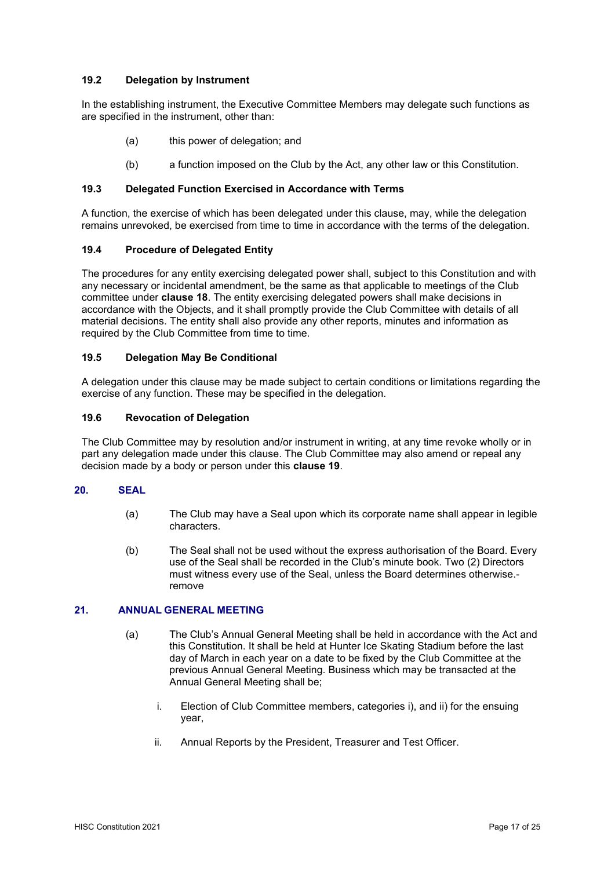## **19.2 Delegation by Instrument**

In the establishing instrument, the Executive Committee Members may delegate such functions as are specified in the instrument, other than:

- (a) this power of delegation; and
- (b) a function imposed on the Club by the Act, any other law or this Constitution.

#### **19.3 Delegated Function Exercised in Accordance with Terms**

A function, the exercise of which has been delegated under this clause, may, while the delegation remains unrevoked, be exercised from time to time in accordance with the terms of the delegation.

## **19.4 Procedure of Delegated Entity**

The procedures for any entity exercising delegated power shall, subject to this Constitution and with any necessary or incidental amendment, be the same as that applicable to meetings of the Club committee under **clause 18**. The entity exercising delegated powers shall make decisions in accordance with the Objects, and it shall promptly provide the Club Committee with details of all material decisions. The entity shall also provide any other reports, minutes and information as required by the Club Committee from time to time.

## **19.5 Delegation May Be Conditional**

A delegation under this clause may be made subject to certain conditions or limitations regarding the exercise of any function. These may be specified in the delegation.

## **19.6 Revocation of Delegation**

The Club Committee may by resolution and/or instrument in writing, at any time revoke wholly or in part any delegation made under this clause. The Club Committee may also amend or repeal any decision made by a body or person under this **clause 19**.

#### **20. SEAL**

- (a) The Club may have a Seal upon which its corporate name shall appear in legible characters.
- (b) The Seal shall not be used without the express authorisation of the Board. Every use of the Seal shall be recorded in the Club's minute book. Two (2) Directors must witness every use of the Seal, unless the Board determines otherwise. remove

#### **21. ANNUAL GENERAL MEETING**

- (a) The Club's Annual General Meeting shall be held in accordance with the Act and this Constitution. It shall be held at Hunter Ice Skating Stadium before the last day of March in each year on a date to be fixed by the Club Committee at the previous Annual General Meeting. Business which may be transacted at the Annual General Meeting shall be;
	- i. Election of Club Committee members, categories i), and ii) for the ensuing year,
	- ii. Annual Reports by the President, Treasurer and Test Officer.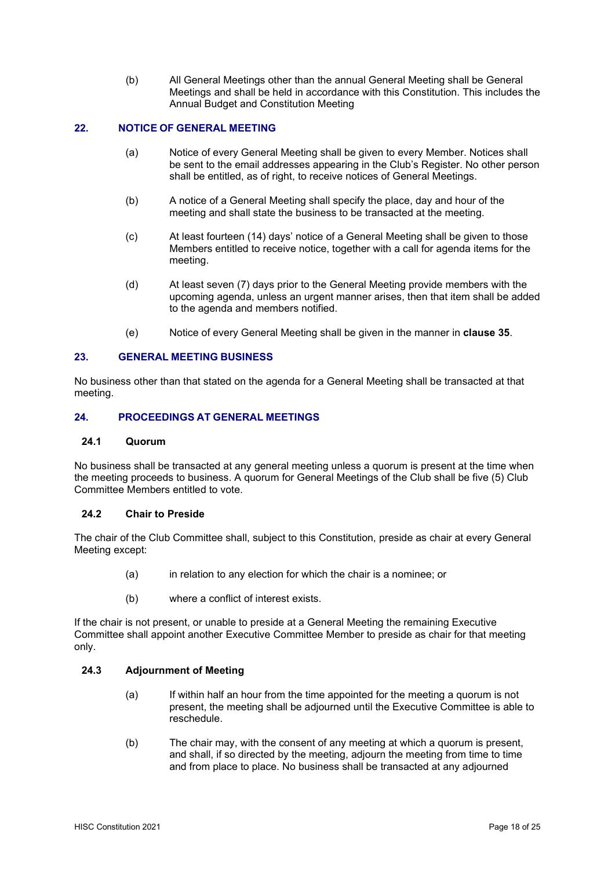(b) All General Meetings other than the annual General Meeting shall be General Meetings and shall be held in accordance with this Constitution. This includes the Annual Budget and Constitution Meeting

## **22. NOTICE OF GENERAL MEETING**

- (a) Notice of every General Meeting shall be given to every Member. Notices shall be sent to the email addresses appearing in the Club's Register. No other person shall be entitled, as of right, to receive notices of General Meetings.
- (b) A notice of a General Meeting shall specify the place, day and hour of the meeting and shall state the business to be transacted at the meeting.
- (c) At least fourteen (14) days' notice of a General Meeting shall be given to those Members entitled to receive notice, together with a call for agenda items for the meeting.
- (d) At least seven (7) days prior to the General Meeting provide members with the upcoming agenda, unless an urgent manner arises, then that item shall be added to the agenda and members notified.
- (e) Notice of every General Meeting shall be given in the manner in **clause 35**.

## **23. GENERAL MEETING BUSINESS**

No business other than that stated on the agenda for a General Meeting shall be transacted at that meeting.

## **24. PROCEEDINGS AT GENERAL MEETINGS**

#### **24.1 Quorum**

No business shall be transacted at any general meeting unless a quorum is present at the time when the meeting proceeds to business. A quorum for General Meetings of the Club shall be five (5) Club Committee Members entitled to vote.

#### **24.2 Chair to Preside**

The chair of the Club Committee shall, subject to this Constitution, preside as chair at every General Meeting except:

- (a) in relation to any election for which the chair is a nominee; or
- (b) where a conflict of interest exists.

If the chair is not present, or unable to preside at a General Meeting the remaining Executive Committee shall appoint another Executive Committee Member to preside as chair for that meeting only.

#### **24.3 Adjournment of Meeting**

- (a) If within half an hour from the time appointed for the meeting a quorum is not present, the meeting shall be adjourned until the Executive Committee is able to reschedule.
- (b) The chair may, with the consent of any meeting at which a quorum is present, and shall, if so directed by the meeting, adjourn the meeting from time to time and from place to place. No business shall be transacted at any adjourned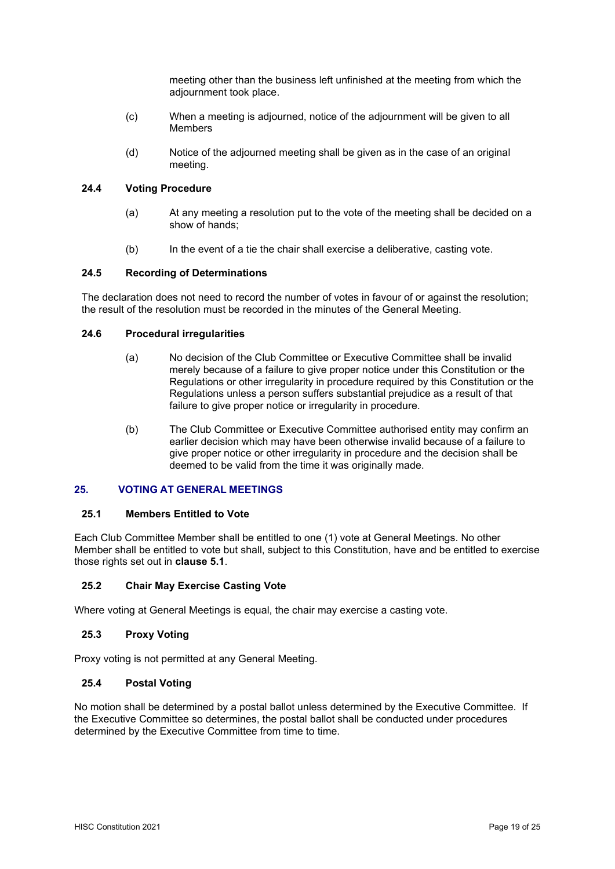meeting other than the business left unfinished at the meeting from which the adjournment took place.

- (c) When a meeting is adjourned, notice of the adjournment will be given to all Members
- (d) Notice of the adjourned meeting shall be given as in the case of an original meeting.

## **24.4 Voting Procedure**

- (a) At any meeting a resolution put to the vote of the meeting shall be decided on a show of hands;
- (b) In the event of a tie the chair shall exercise a deliberative, casting vote.

## **24.5 Recording of Determinations**

The declaration does not need to record the number of votes in favour of or against the resolution; the result of the resolution must be recorded in the minutes of the General Meeting.

#### **24.6 Procedural irregularities**

- (a) No decision of the Club Committee or Executive Committee shall be invalid merely because of a failure to give proper notice under this Constitution or the Regulations or other irregularity in procedure required by this Constitution or the Regulations unless a person suffers substantial prejudice as a result of that failure to give proper notice or irregularity in procedure.
- (b) The Club Committee or Executive Committee authorised entity may confirm an earlier decision which may have been otherwise invalid because of a failure to give proper notice or other irregularity in procedure and the decision shall be deemed to be valid from the time it was originally made.

## **25. VOTING AT GENERAL MEETINGS**

#### **25.1 Members Entitled to Vote**

Each Club Committee Member shall be entitled to one (1) vote at General Meetings. No other Member shall be entitled to vote but shall, subject to this Constitution, have and be entitled to exercise those rights set out in **clause 5.1**.

#### **25.2 Chair May Exercise Casting Vote**

Where voting at General Meetings is equal, the chair may exercise a casting vote.

#### **25.3 Proxy Voting**

Proxy voting is not permitted at any General Meeting.

## **25.4 Postal Voting**

No motion shall be determined by a postal ballot unless determined by the Executive Committee. If the Executive Committee so determines, the postal ballot shall be conducted under procedures determined by the Executive Committee from time to time.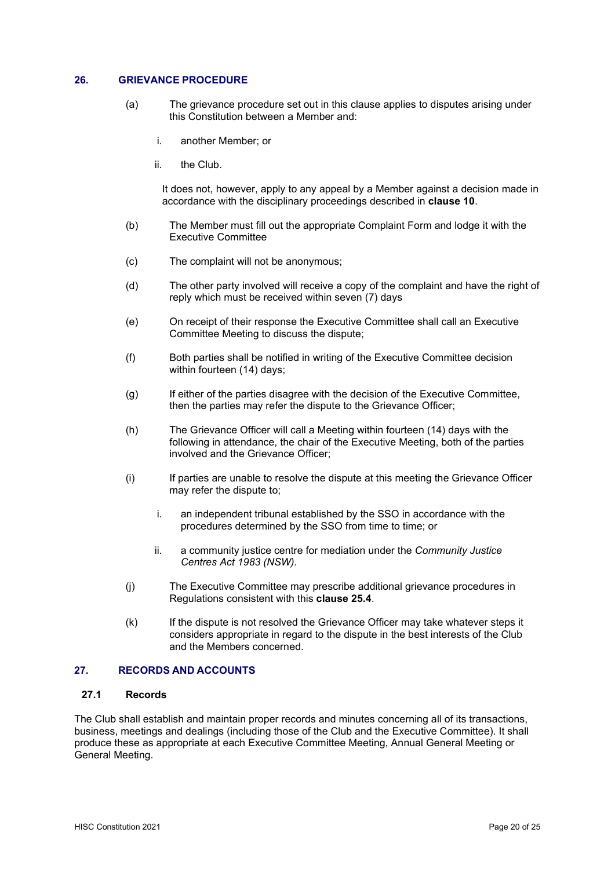## **26. GRIEVANCE PROCEDURE**

- (a) The grievance procedure set out in this clause applies to disputes arising under this Constitution between a Member and:
	- i. another Member; or
	- ii. the Club.

It does not, however, apply to any appeal by a Member against a decision made in accordance with the disciplinary proceedings described in **clause 10**.

- (b) The Member must fill out the appropriate Complaint Form and lodge it with the Executive Committee
- (c) The complaint will not be anonymous;
- (d) The other party involved will receive a copy of the complaint and have the right of reply which must be received within seven (7) days
- (e) On receipt of their response the Executive Committee shall call an Executive Committee Meeting to discuss the dispute;
- (f) Both parties shall be notified in writing of the Executive Committee decision within fourteen (14) days;
- (g) If either of the parties disagree with the decision of the Executive Committee, then the parties may refer the dispute to the Grievance Officer;
- (h) The Grievance Officer will call a Meeting within fourteen (14) days with the following in attendance, the chair of the Executive Meeting, both of the parties involved and the Grievance Officer;
- (i) If parties are unable to resolve the dispute at this meeting the Grievance Officer may refer the dispute to;
	- i. an independent tribunal established by the SSO in accordance with the procedures determined by the SSO from time to time; or
	- ii. a community justice centre for mediation under the *Community Justice Centres Act 1983 (NSW).*
- (j) The Executive Committee may prescribe additional grievance procedures in Regulations consistent with this **clause 25.4**.
- (k) If the dispute is not resolved the Grievance Officer may take whatever steps it considers appropriate in regard to the dispute in the best interests of the Club and the Members concerned.

#### **27. RECORDS AND ACCOUNTS**

## **27.1 Records**

The Club shall establish and maintain proper records and minutes concerning all of its transactions, business, meetings and dealings (including those of the Club and the Executive Committee). It shall produce these as appropriate at each Executive Committee Meeting, Annual General Meeting or General Meeting.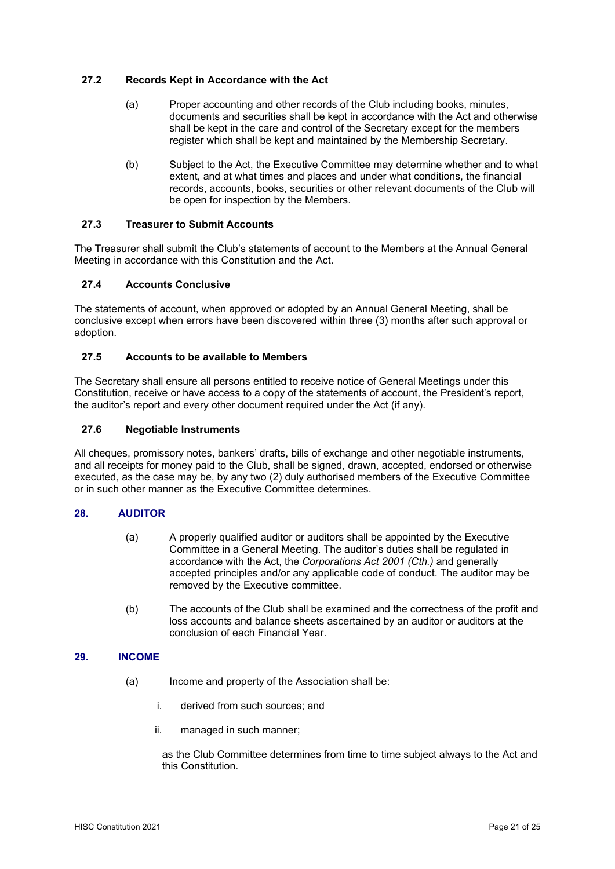## **27.2 Records Kept in Accordance with the Act**

- (a) Proper accounting and other records of the Club including books, minutes, documents and securities shall be kept in accordance with the Act and otherwise shall be kept in the care and control of the Secretary except for the members register which shall be kept and maintained by the Membership Secretary.
- (b) Subject to the Act, the Executive Committee may determine whether and to what extent, and at what times and places and under what conditions, the financial records, accounts, books, securities or other relevant documents of the Club will be open for inspection by the Members.

## **27.3 Treasurer to Submit Accounts**

The Treasurer shall submit the Club's statements of account to the Members at the Annual General Meeting in accordance with this Constitution and the Act.

## **27.4 Accounts Conclusive**

The statements of account, when approved or adopted by an Annual General Meeting, shall be conclusive except when errors have been discovered within three (3) months after such approval or adoption.

## **27.5 Accounts to be available to Members**

The Secretary shall ensure all persons entitled to receive notice of General Meetings under this Constitution, receive or have access to a copy of the statements of account, the President's report, the auditor's report and every other document required under the Act (if any).

#### **27.6 Negotiable Instruments**

All cheques, promissory notes, bankers' drafts, bills of exchange and other negotiable instruments, and all receipts for money paid to the Club, shall be signed, drawn, accepted, endorsed or otherwise executed, as the case may be, by any two (2) duly authorised members of the Executive Committee or in such other manner as the Executive Committee determines.

## **28. AUDITOR**

- (a) A properly qualified auditor or auditors shall be appointed by the Executive Committee in a General Meeting. The auditor's duties shall be regulated in accordance with the Act, the *Corporations Act 2001 (Cth.)* and generally accepted principles and/or any applicable code of conduct. The auditor may be removed by the Executive committee.
- (b) The accounts of the Club shall be examined and the correctness of the profit and loss accounts and balance sheets ascertained by an auditor or auditors at the conclusion of each Financial Year.

#### **29. INCOME**

- (a) Income and property of the Association shall be:
	- i. derived from such sources; and
	- ii. managed in such manner;

as the Club Committee determines from time to time subject always to the Act and this Constitution.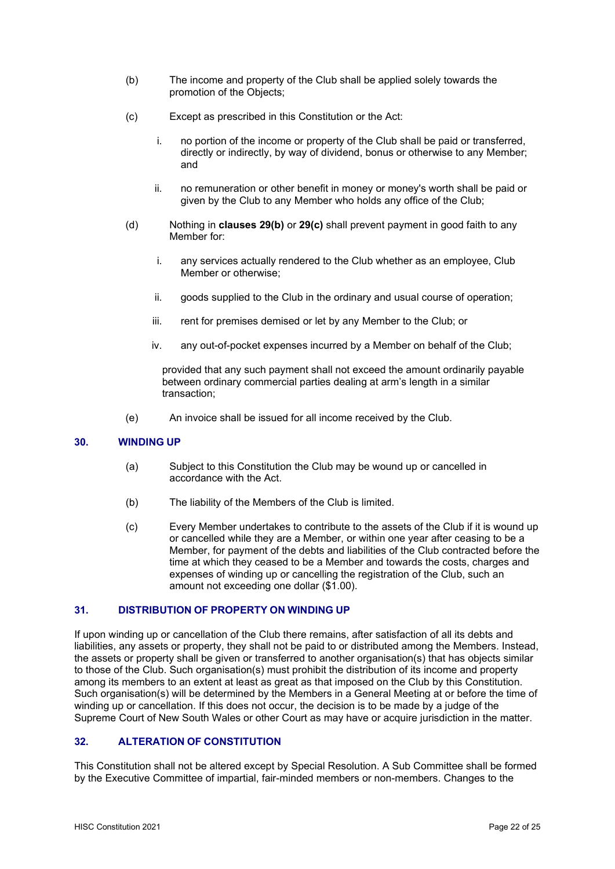- (b) The income and property of the Club shall be applied solely towards the promotion of the Objects;
- (c) Except as prescribed in this Constitution or the Act:
	- i. no portion of the income or property of the Club shall be paid or transferred, directly or indirectly, by way of dividend, bonus or otherwise to any Member; and
	- ii. no remuneration or other benefit in money or money's worth shall be paid or given by the Club to any Member who holds any office of the Club;
- (d) Nothing in **clauses 29(b)** or **29(c)** shall prevent payment in good faith to any Member for:
	- i. any services actually rendered to the Club whether as an employee, Club Member or otherwise;
	- ii. goods supplied to the Club in the ordinary and usual course of operation;
	- iii. rent for premises demised or let by any Member to the Club; or
	- iv. any out-of-pocket expenses incurred by a Member on behalf of the Club;

provided that any such payment shall not exceed the amount ordinarily payable between ordinary commercial parties dealing at arm's length in a similar transaction;

(e) An invoice shall be issued for all income received by the Club.

## **30. WINDING UP**

- (a) Subject to this Constitution the Club may be wound up or cancelled in accordance with the Act.
- (b) The liability of the Members of the Club is limited.
- (c) Every Member undertakes to contribute to the assets of the Club if it is wound up or cancelled while they are a Member, or within one year after ceasing to be a Member, for payment of the debts and liabilities of the Club contracted before the time at which they ceased to be a Member and towards the costs, charges and expenses of winding up or cancelling the registration of the Club, such an amount not exceeding one dollar (\$1.00).

## **31. DISTRIBUTION OF PROPERTY ON WINDING UP**

If upon winding up or cancellation of the Club there remains, after satisfaction of all its debts and liabilities, any assets or property, they shall not be paid to or distributed among the Members. Instead, the assets or property shall be given or transferred to another organisation(s) that has objects similar to those of the Club. Such organisation(s) must prohibit the distribution of its income and property among its members to an extent at least as great as that imposed on the Club by this Constitution. Such organisation(s) will be determined by the Members in a General Meeting at or before the time of winding up or cancellation. If this does not occur, the decision is to be made by a judge of the Supreme Court of New South Wales or other Court as may have or acquire jurisdiction in the matter.

# **32. ALTERATION OF CONSTITUTION**

This Constitution shall not be altered except by Special Resolution. A Sub Committee shall be formed by the Executive Committee of impartial, fair-minded members or non-members. Changes to the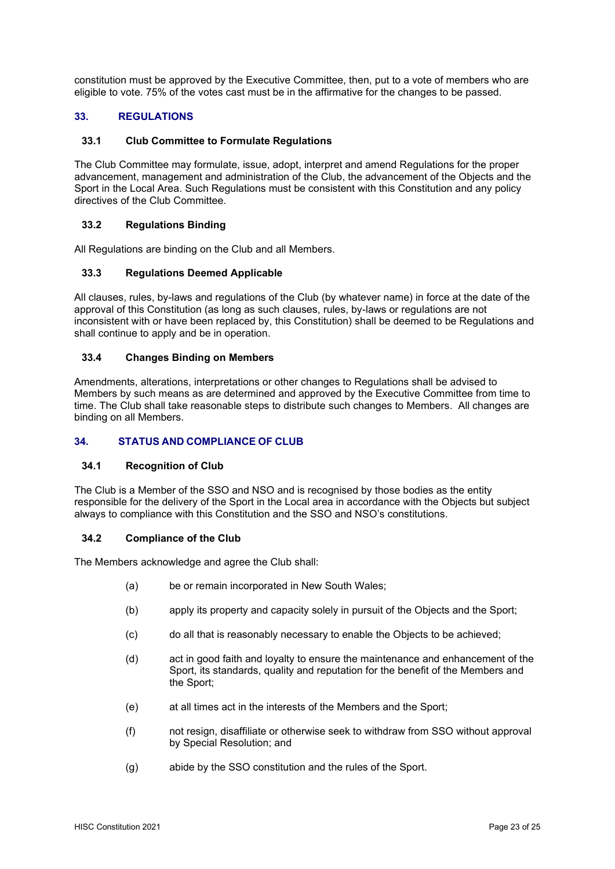constitution must be approved by the Executive Committee, then, put to a vote of members who are eligible to vote. 75% of the votes cast must be in the affirmative for the changes to be passed.

# **33. REGULATIONS**

## **33.1 Club Committee to Formulate Regulations**

The Club Committee may formulate, issue, adopt, interpret and amend Regulations for the proper advancement, management and administration of the Club, the advancement of the Objects and the Sport in the Local Area. Such Regulations must be consistent with this Constitution and any policy directives of the Club Committee.

## **33.2 Regulations Binding**

All Regulations are binding on the Club and all Members.

## **33.3 Regulations Deemed Applicable**

All clauses, rules, by-laws and regulations of the Club (by whatever name) in force at the date of the approval of this Constitution (as long as such clauses, rules, by-laws or regulations are not inconsistent with or have been replaced by, this Constitution) shall be deemed to be Regulations and shall continue to apply and be in operation.

## **33.4 Changes Binding on Members**

Amendments, alterations, interpretations or other changes to Regulations shall be advised to Members by such means as are determined and approved by the Executive Committee from time to time. The Club shall take reasonable steps to distribute such changes to Members. All changes are binding on all Members.

## **34. STATUS AND COMPLIANCE OF CLUB**

#### **34.1 Recognition of Club**

The Club is a Member of the SSO and NSO and is recognised by those bodies as the entity responsible for the delivery of the Sport in the Local area in accordance with the Objects but subject always to compliance with this Constitution and the SSO and NSO's constitutions.

#### **34.2 Compliance of the Club**

The Members acknowledge and agree the Club shall:

- (a) be or remain incorporated in New South Wales;
- (b) apply its property and capacity solely in pursuit of the Objects and the Sport;
- (c) do all that is reasonably necessary to enable the Objects to be achieved;
- (d) act in good faith and loyalty to ensure the maintenance and enhancement of the Sport, its standards, quality and reputation for the benefit of the Members and the Sport;
- (e) at all times act in the interests of the Members and the Sport;
- (f) not resign, disaffiliate or otherwise seek to withdraw from SSO without approval by Special Resolution; and
- (g) abide by the SSO constitution and the rules of the Sport.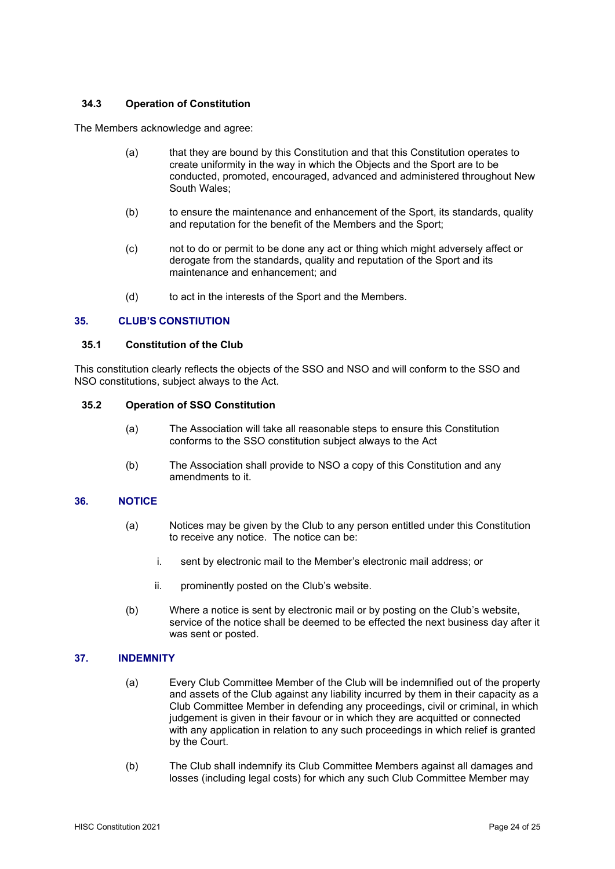## **34.3 Operation of Constitution**

The Members acknowledge and agree:

- (a) that they are bound by this Constitution and that this Constitution operates to create uniformity in the way in which the Objects and the Sport are to be conducted, promoted, encouraged, advanced and administered throughout New South Wales;
- (b) to ensure the maintenance and enhancement of the Sport, its standards, quality and reputation for the benefit of the Members and the Sport;
- (c) not to do or permit to be done any act or thing which might adversely affect or derogate from the standards, quality and reputation of the Sport and its maintenance and enhancement; and
- (d) to act in the interests of the Sport and the Members.

#### **35. CLUB'S CONSTIUTION**

#### **35.1 Constitution of the Club**

This constitution clearly reflects the objects of the SSO and NSO and will conform to the SSO and NSO constitutions, subject always to the Act.

## **35.2 Operation of SSO Constitution**

- (a) The Association will take all reasonable steps to ensure this Constitution conforms to the SSO constitution subject always to the Act
- (b) The Association shall provide to NSO a copy of this Constitution and any amendments to it.

## **36. NOTICE**

- (a) Notices may be given by the Club to any person entitled under this Constitution to receive any notice. The notice can be:
	- i. sent by electronic mail to the Member's electronic mail address; or
	- ii. prominently posted on the Club's website.
- (b) Where a notice is sent by electronic mail or by posting on the Club's website, service of the notice shall be deemed to be effected the next business day after it was sent or posted.

#### **37. INDEMNITY**

- (a) Every Club Committee Member of the Club will be indemnified out of the property and assets of the Club against any liability incurred by them in their capacity as a Club Committee Member in defending any proceedings, civil or criminal, in which judgement is given in their favour or in which they are acquitted or connected with any application in relation to any such proceedings in which relief is granted by the Court.
- (b) The Club shall indemnify its Club Committee Members against all damages and losses (including legal costs) for which any such Club Committee Member may